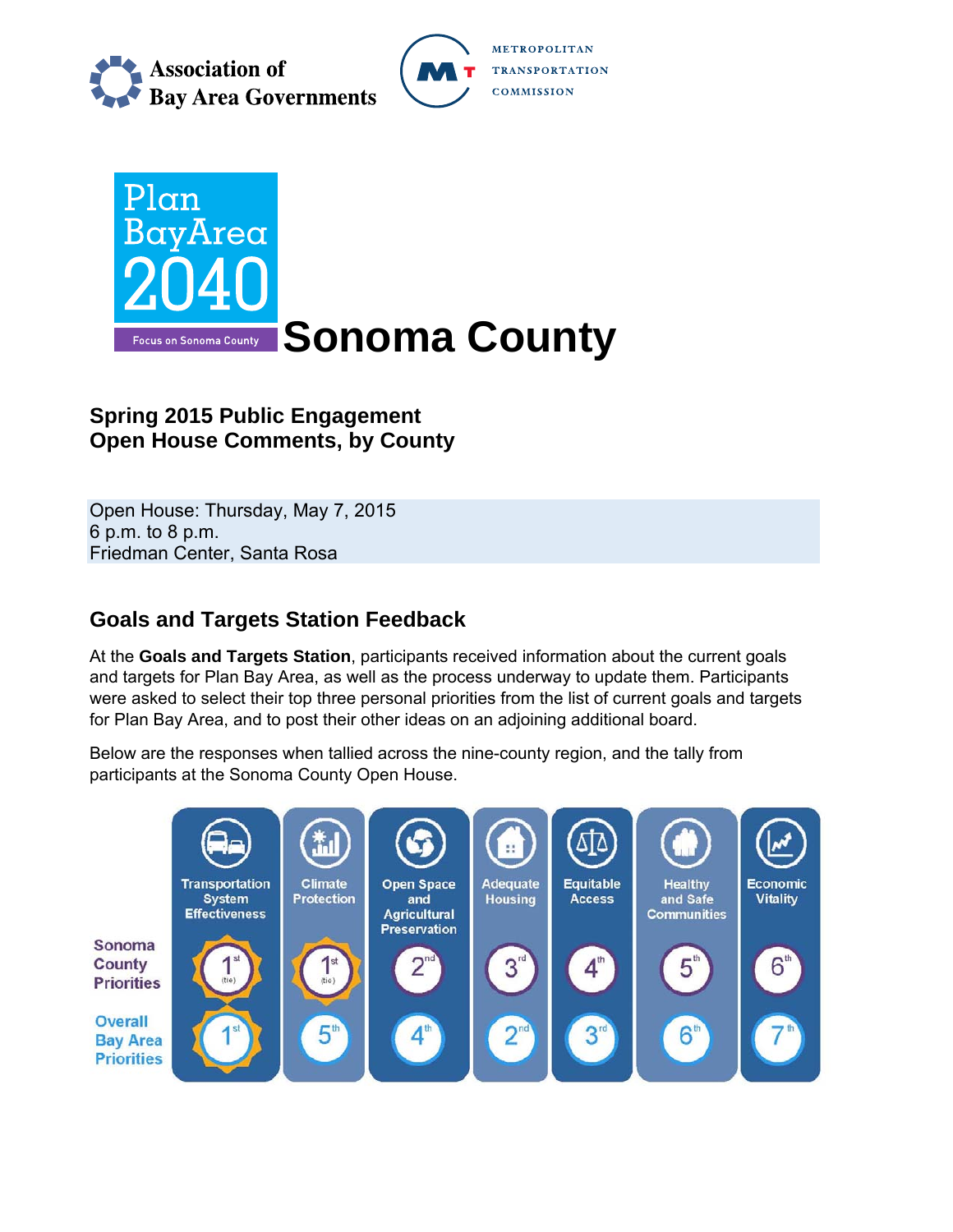

METROPOLITAN **TRANSPORTATION COMMISSION** 



## **Spring 2015 Public Engagement Open House Comments, by County**

Open House: Thursday, May 7, 2015 6 p.m. to 8 p.m. Friedman Center, Santa Rosa

## **Goals and Targets Station Feedback**

At the **Goals and Targets Station**, participants received information about the current goals and targets for Plan Bay Area, as well as the process underway to update them. Participants were asked to select their top three personal priorities from the list of current goals and targets for Plan Bay Area, and to post their other ideas on an adjoining additional board.

Below are the responses when tallied across the nine-county region, and the tally from participants at the Sonoma County Open House.

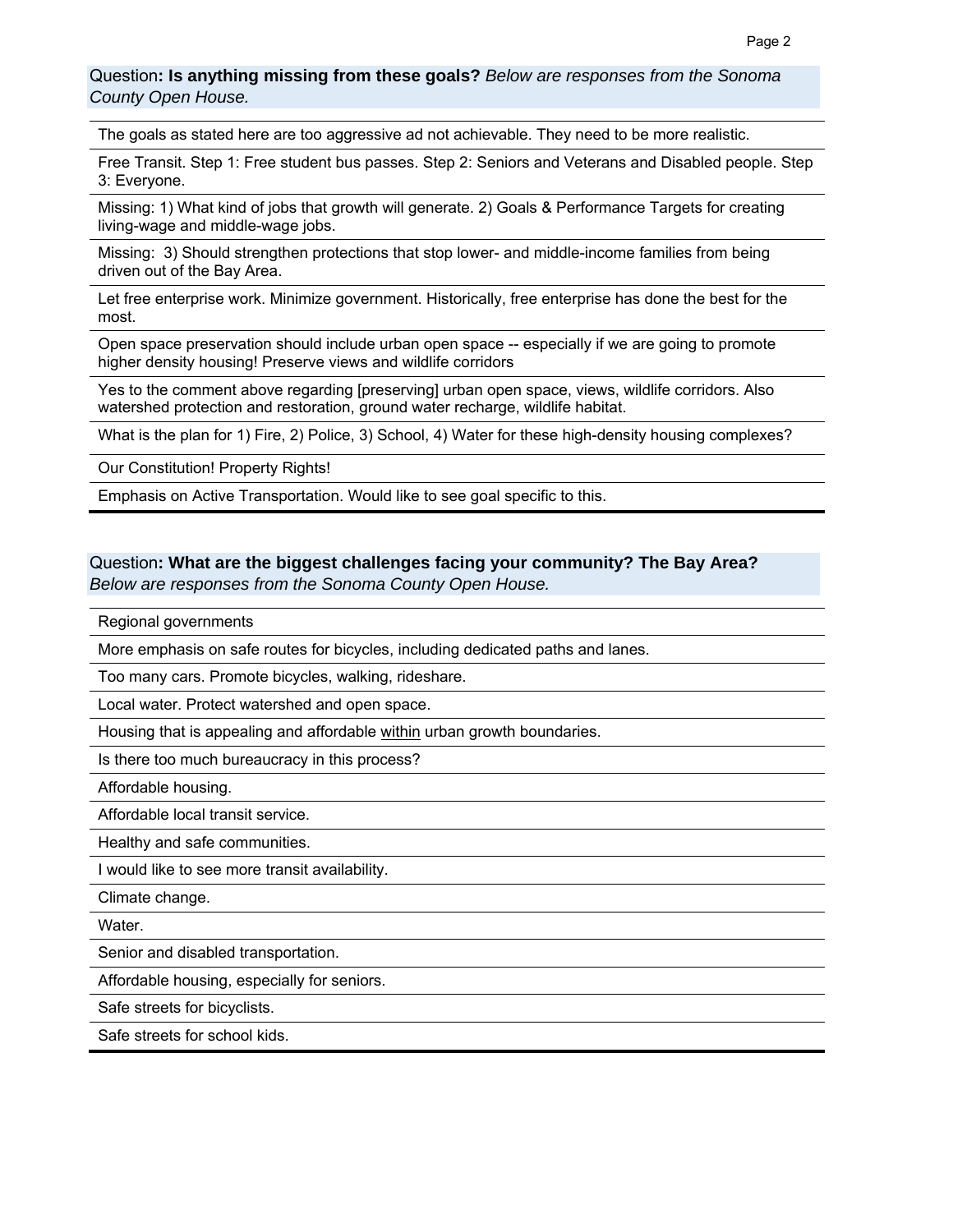Question**: Is anything missing from these goals?** *Below are responses from the Sonoma County Open House.*

The goals as stated here are too aggressive ad not achievable. They need to be more realistic.

Free Transit. Step 1: Free student bus passes. Step 2: Seniors and Veterans and Disabled people. Step 3: Everyone.

Missing: 1) What kind of jobs that growth will generate. 2) Goals & Performance Targets for creating living-wage and middle-wage jobs.

Missing: 3) Should strengthen protections that stop lower- and middle-income families from being driven out of the Bay Area.

Let free enterprise work. Minimize government. Historically, free enterprise has done the best for the most.

Open space preservation should include urban open space -- especially if we are going to promote higher density housing! Preserve views and wildlife corridors

Yes to the comment above regarding [preserving] urban open space, views, wildlife corridors. Also watershed protection and restoration, ground water recharge, wildlife habitat.

What is the plan for 1) Fire, 2) Police, 3) School, 4) Water for these high-density housing complexes?

Our Constitution! Property Rights!

Emphasis on Active Transportation. Would like to see goal specific to this.

# Question**: What are the biggest challenges facing your community? The Bay Area?**

*Below are responses from the Sonoma County Open House.*

Regional governments

More emphasis on safe routes for bicycles, including dedicated paths and lanes.

Too many cars. Promote bicycles, walking, rideshare.

Local water. Protect watershed and open space.

Housing that is appealing and affordable within urban growth boundaries.

Is there too much bureaucracy in this process?

Affordable housing.

Affordable local transit service.

Healthy and safe communities.

I would like to see more transit availability.

Climate change.

Water.

Senior and disabled transportation.

Affordable housing, especially for seniors.

Safe streets for bicyclists.

Safe streets for school kids.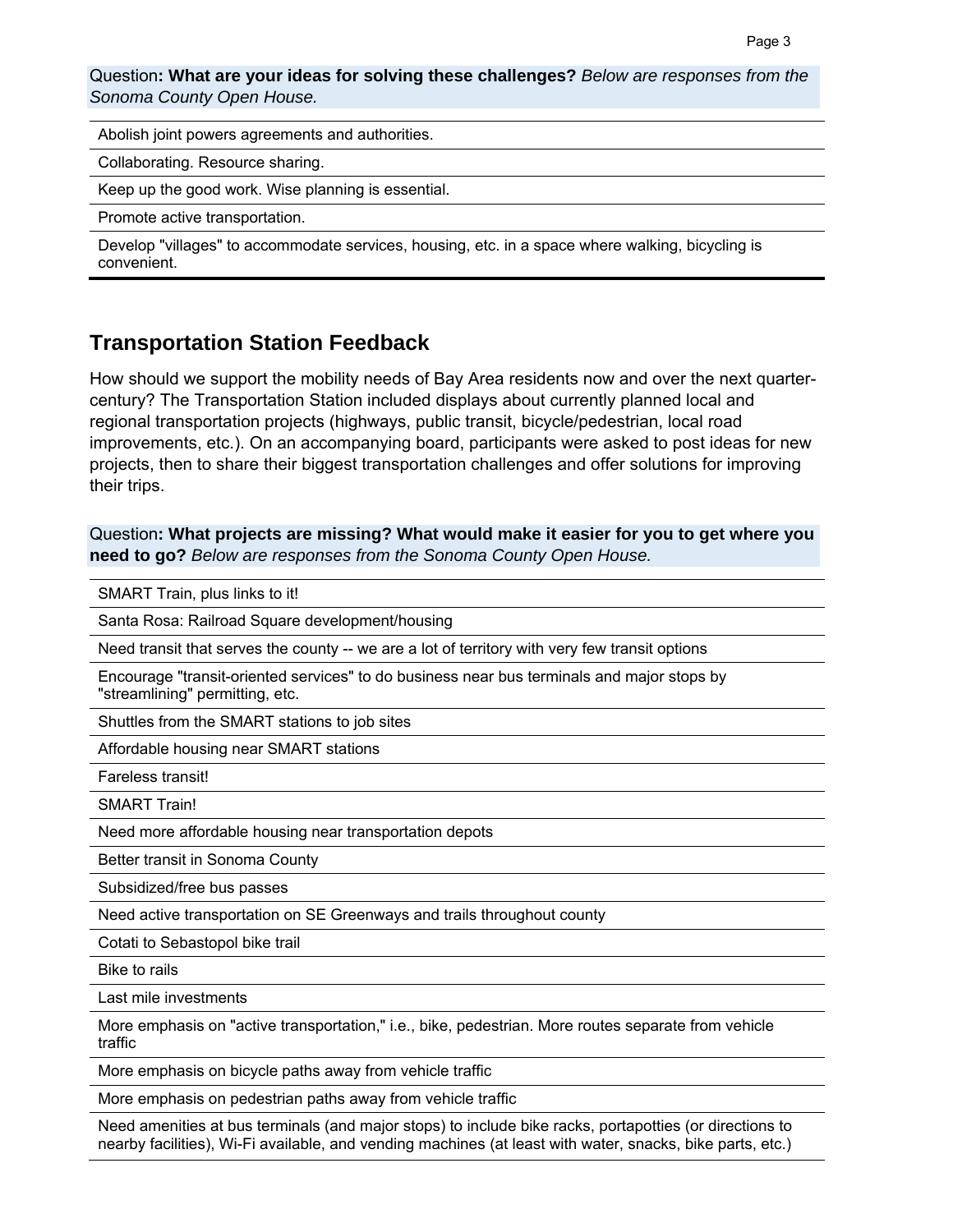Question**: What are your ideas for solving these challenges?** *Below are responses from the Sonoma County Open House.* 

Abolish joint powers agreements and authorities.

Collaborating. Resource sharing.

Keep up the good work. Wise planning is essential.

Promote active transportation.

Develop "villages" to accommodate services, housing, etc. in a space where walking, bicycling is convenient.

### **Transportation Station Feedback**

How should we support the mobility needs of Bay Area residents now and over the next quartercentury? The Transportation Station included displays about currently planned local and regional transportation projects (highways, public transit, bicycle/pedestrian, local road improvements, etc.). On an accompanying board, participants were asked to post ideas for new projects, then to share their biggest transportation challenges and offer solutions for improving their trips.

Question**: What projects are missing? What would make it easier for you to get where you need to go?** *Below are responses from the Sonoma County Open House.*

SMART Train, plus links to it!

Santa Rosa: Railroad Square development/housing

Need transit that serves the county -- we are a lot of territory with very few transit options

Encourage "transit-oriented services" to do business near bus terminals and major stops by "streamlining" permitting, etc.

Shuttles from the SMART stations to job sites

Affordable housing near SMART stations

Fareless transit!

SMART Train!

Need more affordable housing near transportation depots

Better transit in Sonoma County

Subsidized/free bus passes

Need active transportation on SE Greenways and trails throughout county

Cotati to Sebastopol bike trail

Bike to rails

Last mile investments

More emphasis on "active transportation," i.e., bike, pedestrian. More routes separate from vehicle traffic

More emphasis on bicycle paths away from vehicle traffic

More emphasis on pedestrian paths away from vehicle traffic

Need amenities at bus terminals (and major stops) to include bike racks, portapotties (or directions to nearby facilities), Wi-Fi available, and vending machines (at least with water, snacks, bike parts, etc.)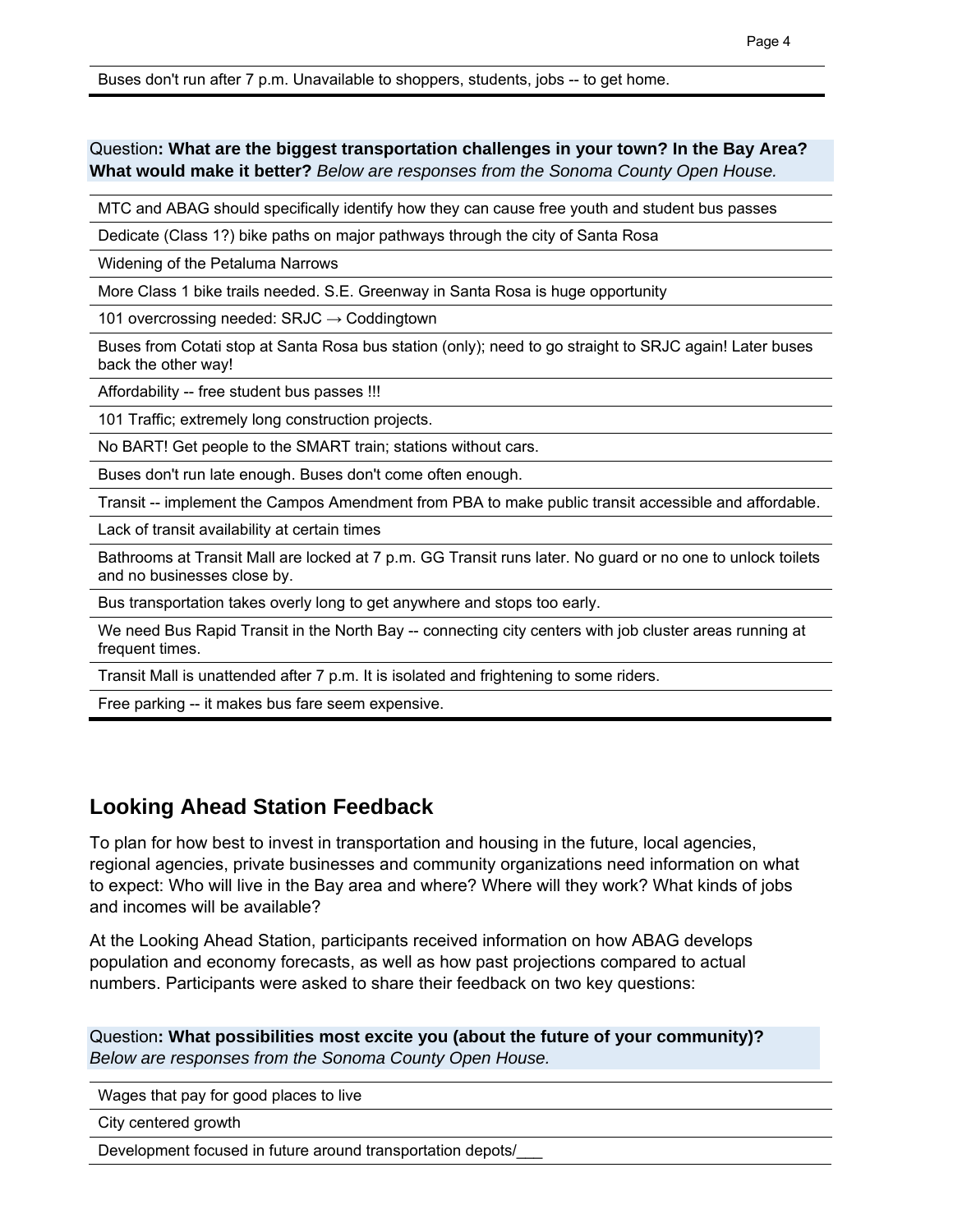Buses don't run after 7 p.m. Unavailable to shoppers, students, jobs -- to get home.

#### Question**: What are the biggest transportation challenges in your town? In the Bay Area? What would make it better?** *Below are responses from the Sonoma County Open House.*

MTC and ABAG should specifically identify how they can cause free youth and student bus passes

Dedicate (Class 1?) bike paths on major pathways through the city of Santa Rosa

Widening of the Petaluma Narrows

More Class 1 bike trails needed. S.E. Greenway in Santa Rosa is huge opportunity

101 overcrossing needed:  $SRJC \rightarrow Coddingtown$ 

Buses from Cotati stop at Santa Rosa bus station (only); need to go straight to SRJC again! Later buses back the other way!

Affordability -- free student bus passes !!!

101 Traffic; extremely long construction projects.

No BART! Get people to the SMART train; stations without cars.

Buses don't run late enough. Buses don't come often enough.

Transit -- implement the Campos Amendment from PBA to make public transit accessible and affordable.

Lack of transit availability at certain times

Bathrooms at Transit Mall are locked at 7 p.m. GG Transit runs later. No guard or no one to unlock toilets and no businesses close by.

Bus transportation takes overly long to get anywhere and stops too early.

We need Bus Rapid Transit in the North Bay -- connecting city centers with job cluster areas running at frequent times.

Transit Mall is unattended after 7 p.m. It is isolated and frightening to some riders.

Free parking -- it makes bus fare seem expensive.

## **Looking Ahead Station Feedback**

To plan for how best to invest in transportation and housing in the future, local agencies, regional agencies, private businesses and community organizations need information on what to expect: Who will live in the Bay area and where? Where will they work? What kinds of jobs and incomes will be available?

At the Looking Ahead Station, participants received information on how ABAG develops population and economy forecasts, as well as how past projections compared to actual numbers. Participants were asked to share their feedback on two key questions:

Question**: What possibilities most excite you (about the future of your community)?**  *Below are responses from the Sonoma County Open House.*

Wages that pay for good places to live

City centered growth

Development focused in future around transportation depots/\_\_\_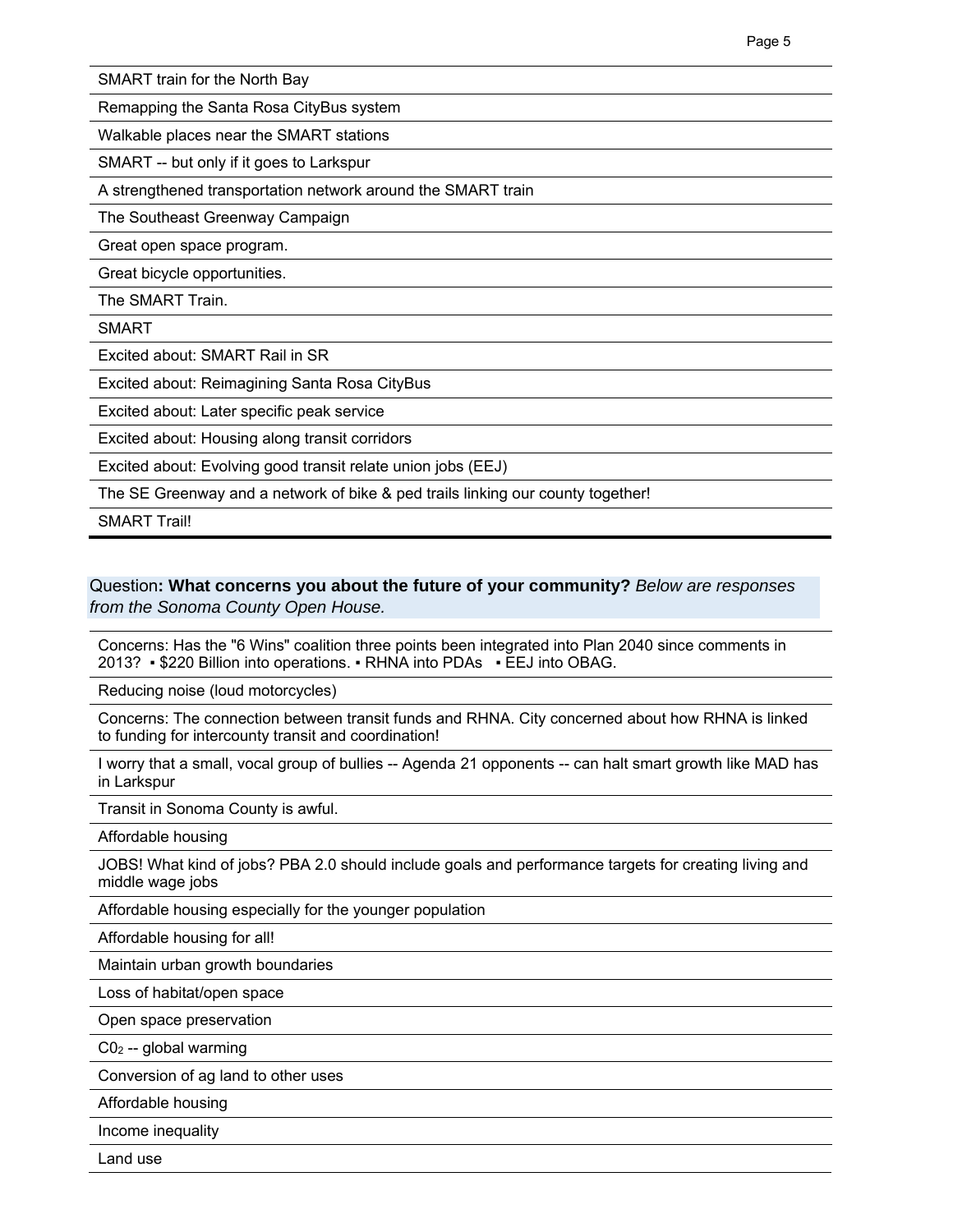SMART train for the North Bay

Remapping the Santa Rosa CityBus system

Walkable places near the SMART stations

SMART -- but only if it goes to Larkspur

A strengthened transportation network around the SMART train

The Southeast Greenway Campaign

Great open space program.

Great bicycle opportunities.

The SMART Train.

SMART

Excited about: SMART Rail in SR

Excited about: Reimagining Santa Rosa CityBus

Excited about: Later specific peak service

Excited about: Housing along transit corridors

Excited about: Evolving good transit relate union jobs (EEJ)

The SE Greenway and a network of bike & ped trails linking our county together!

SMART Trail!

#### Question**: What concerns you about the future of your community?** *Below are responses from the Sonoma County Open House.*

Concerns: Has the "6 Wins" coalition three points been integrated into Plan 2040 since comments in 2013? ▪ \$220 Billion into operations. ▪ RHNA into PDAs ▪ EEJ into OBAG.

Reducing noise (loud motorcycles)

Concerns: The connection between transit funds and RHNA. City concerned about how RHNA is linked to funding for intercounty transit and coordination!

I worry that a small, vocal group of bullies -- Agenda 21 opponents -- can halt smart growth like MAD has in Larkspur

Transit in Sonoma County is awful.

Affordable housing

JOBS! What kind of jobs? PBA 2.0 should include goals and performance targets for creating living and middle wage jobs

Affordable housing especially for the younger population

Affordable housing for all!

Maintain urban growth boundaries

Loss of habitat/open space

Open space preservation

C02 -- global warming

Conversion of ag land to other uses

Affordable housing

Income inequality

Land use